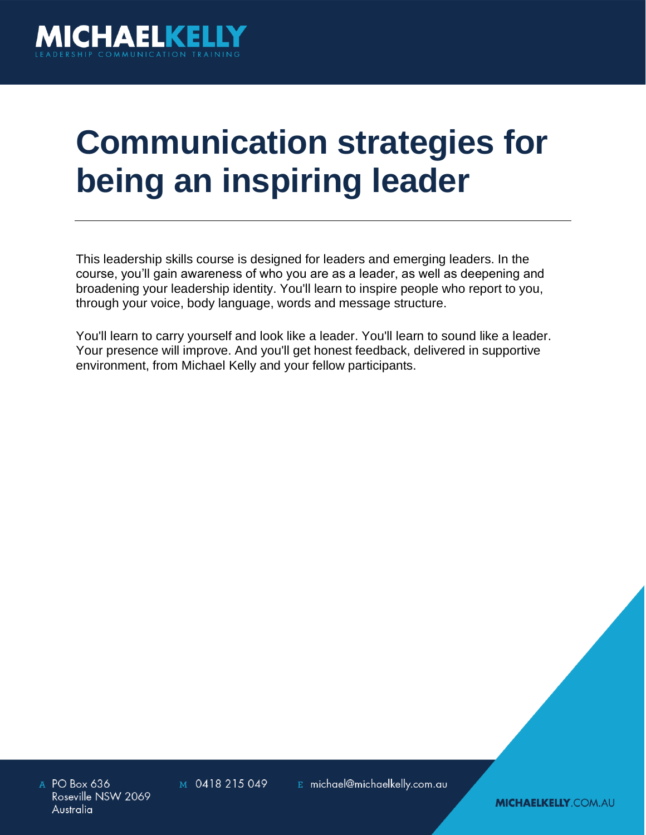

# **Communication strategies for being an inspiring leader**

This leadership skills course is designed for leaders and emerging leaders. In the course, you'll gain awareness of who you are as a leader, as well as deepening and broadening your leadership identity. You'll learn to inspire people who report to you, through your voice, body language, words and message structure.

You'll learn to carry yourself and look like a leader. You'll learn to sound like a leader. Your presence will improve. And you'll get honest feedback, delivered in supportive environment, from Michael Kelly and your fellow participants.

A PO Box 636 Roseville NSW 2069 Australia

M 0418 215 049

E michael@michaelkelly.com.au

**MICHAELKELLY COM.AU**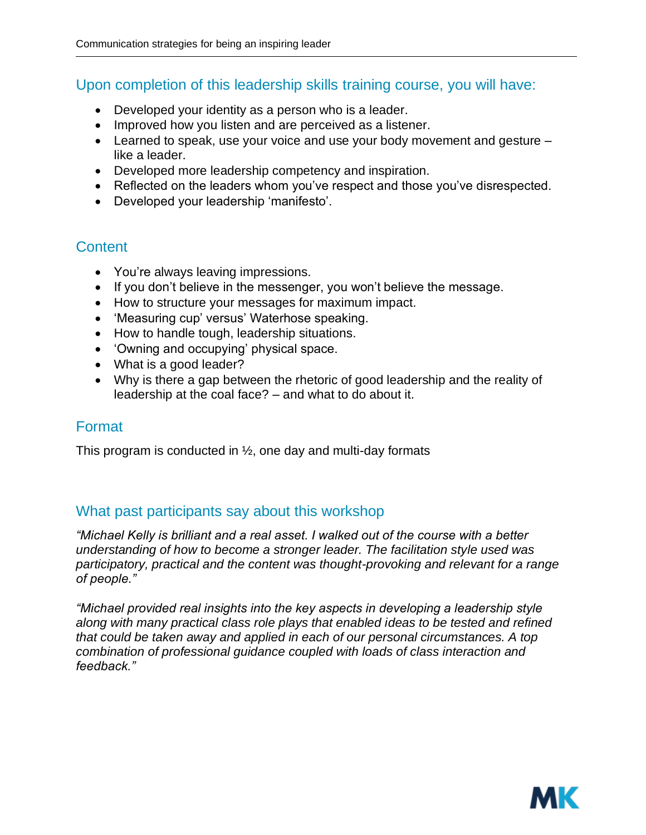## Upon completion of this leadership skills training course, you will have:

- Developed your identity as a person who is a leader.
- Improved how you listen and are perceived as a listener.
- Learned to speak, use your voice and use your body movement and gesture like a leader.
- Developed more leadership competency and inspiration.
- Reflected on the leaders whom you've respect and those you've disrespected.
- Developed your leadership 'manifesto'.

## **Content**

- You're always leaving impressions.
- If you don't believe in the messenger, you won't believe the message.
- How to structure your messages for maximum impact.
- 'Measuring cup' versus' Waterhose speaking.
- How to handle tough, leadership situations.
- 'Owning and occupying' physical space.
- What is a good leader?
- Why is there a gap between the rhetoric of good leadership and the reality of leadership at the coal face? – and what to do about it.

## Format

This program is conducted in  $\frac{1}{2}$ , one day and multi-day formats

## What past participants say about this workshop

*"Michael Kelly is brilliant and a real asset. I walked out of the course with a better understanding of how to become a stronger leader. The facilitation style used was participatory, practical and the content was thought-provoking and relevant for a range of people."*

*"Michael provided real insights into the key aspects in developing a leadership style along with many practical class role plays that enabled ideas to be tested and refined that could be taken away and applied in each of our personal circumstances. A top combination of professional guidance coupled with loads of class interaction and feedback."*